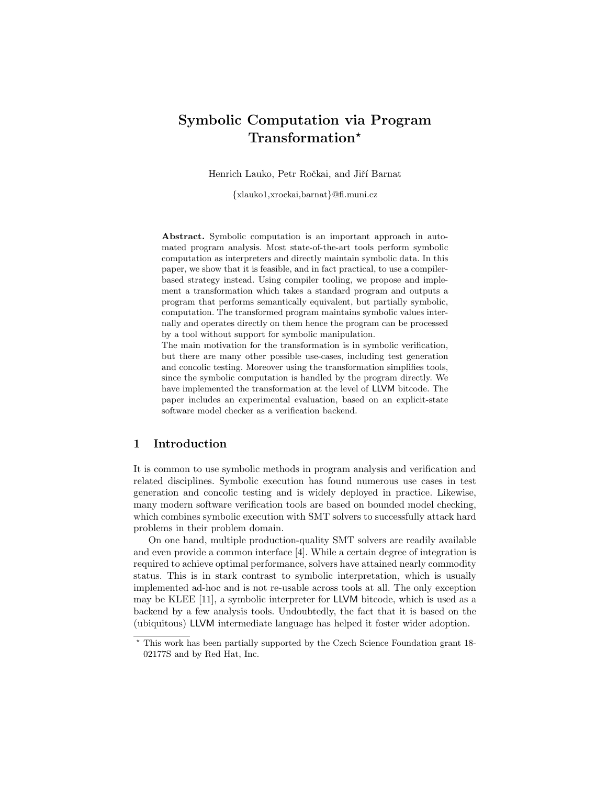# Symbolic Computation via Program Transformation<sup>\*</sup>

Henrich Lauko, Petr Ročkai, and Jiří Barnat

{xlauko1,xrockai,barnat}@fi.muni.cz

Abstract. Symbolic computation is an important approach in automated program analysis. Most state-of-the-art tools perform symbolic computation as interpreters and directly maintain symbolic data. In this paper, we show that it is feasible, and in fact practical, to use a compilerbased strategy instead. Using compiler tooling, we propose and implement a transformation which takes a standard program and outputs a program that performs semantically equivalent, but partially symbolic, computation. The transformed program maintains symbolic values internally and operates directly on them hence the program can be processed by a tool without support for symbolic manipulation.

The main motivation for the transformation is in symbolic verification, but there are many other possible use-cases, including test generation and concolic testing. Moreover using the transformation simplifies tools, since the symbolic computation is handled by the program directly. We have implemented the transformation at the level of LLVM bitcode. The paper includes an experimental evaluation, based on an explicit-state software model checker as a verification backend.

# 1 Introduction

It is common to use symbolic methods in program analysis and verification and related disciplines. Symbolic execution has found numerous use cases in test generation and concolic testing and is widely deployed in practice. Likewise, many modern software verification tools are based on bounded model checking, which combines symbolic execution with SMT solvers to successfully attack hard problems in their problem domain.

On one hand, multiple production-quality SMT solvers are readily available and even provide a common interface [4]. While a certain degree of integration is required to achieve optimal performance, solvers have attained nearly commodity status. This is in stark contrast to symbolic interpretation, which is usually implemented ad-hoc and is not re-usable across tools at all. The only exception may be KLEE [11], a symbolic interpreter for LLVM bitcode, which is used as a backend by a few analysis tools. Undoubtedly, the fact that it is based on the (ubiquitous) LLVM intermediate language has helped it foster wider adoption.

<sup>?</sup> This work has been partially supported by the Czech Science Foundation grant 18- 02177S and by Red Hat, Inc.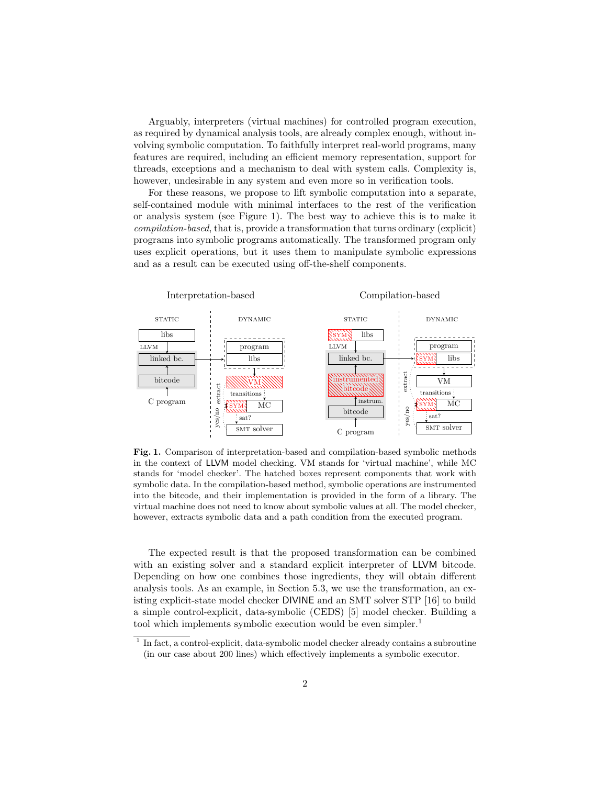Arguably, interpreters (virtual machines) for controlled program execution, as required by dynamical analysis tools, are already complex enough, without involving symbolic computation. To faithfully interpret real-world programs, many features are required, including an efficient memory representation, support for threads, exceptions and a mechanism to deal with system calls. Complexity is, however, undesirable in any system and even more so in verification tools.

For these reasons, we propose to lift symbolic computation into a separate, self-contained module with minimal interfaces to the rest of the verification or analysis system (see Figure 1). The best way to achieve this is to make it compilation-based, that is, provide a transformation that turns ordinary (explicit) programs into symbolic programs automatically. The transformed program only uses explicit operations, but it uses them to manipulate symbolic expressions and as a result can be executed using off-the-shelf components.



Fig. 1. Comparison of interpretation-based and compilation-based symbolic methods in the context of LLVM model checking. VM stands for 'virtual machine', while MC stands for 'model checker'. The hatched boxes represent components that work with symbolic data. In the compilation-based method, symbolic operations are instrumented into the bitcode, and their implementation is provided in the form of a library. The virtual machine does not need to know about symbolic values at all. The model checker, however, extracts symbolic data and a path condition from the executed program.

The expected result is that the proposed transformation can be combined with an existing solver and a standard explicit interpreter of **LLVM** bitcode. Depending on how one combines those ingredients, they will obtain different analysis tools. As an example, in Section 5.3, we use the transformation, an existing explicit-state model checker DIVINE and an SMT solver STP [16] to build a simple control-explicit, data-symbolic (CEDS) [5] model checker. Building a tool which implements symbolic execution would be even simpler.<sup>1</sup>

<sup>&</sup>lt;sup>1</sup> In fact, a control-explicit, data-symbolic model checker already contains a subroutine (in our case about 200 lines) which effectively implements a symbolic executor.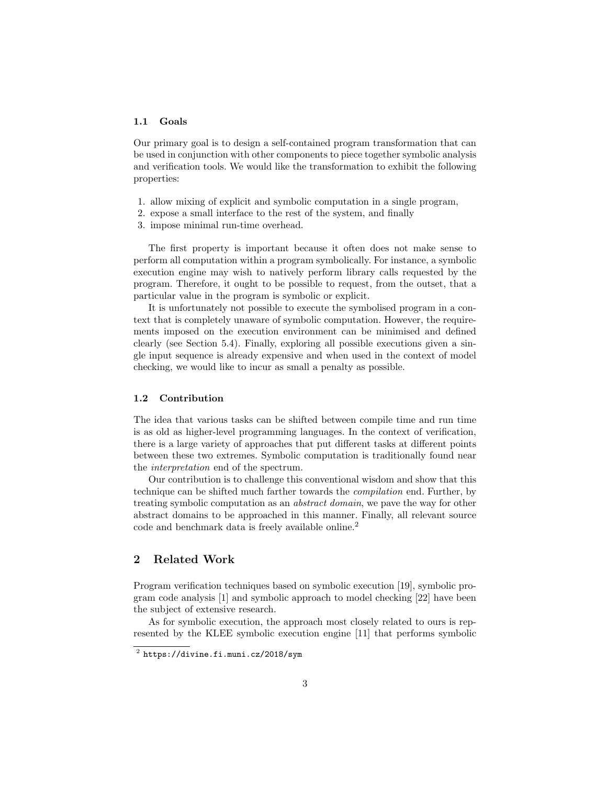### 1.1 Goals

Our primary goal is to design a self-contained program transformation that can be used in conjunction with other components to piece together symbolic analysis and verification tools. We would like the transformation to exhibit the following properties:

- 1. allow mixing of explicit and symbolic computation in a single program,
- 2. expose a small interface to the rest of the system, and finally
- 3. impose minimal run-time overhead.

The first property is important because it often does not make sense to perform all computation within a program symbolically. For instance, a symbolic execution engine may wish to natively perform library calls requested by the program. Therefore, it ought to be possible to request, from the outset, that a particular value in the program is symbolic or explicit.

It is unfortunately not possible to execute the symbolised program in a context that is completely unaware of symbolic computation. However, the requirements imposed on the execution environment can be minimised and defined clearly (see Section 5.4). Finally, exploring all possible executions given a single input sequence is already expensive and when used in the context of model checking, we would like to incur as small a penalty as possible.

### 1.2 Contribution

The idea that various tasks can be shifted between compile time and run time is as old as higher-level programming languages. In the context of verification, there is a large variety of approaches that put different tasks at different points between these two extremes. Symbolic computation is traditionally found near the interpretation end of the spectrum.

Our contribution is to challenge this conventional wisdom and show that this technique can be shifted much farther towards the compilation end. Further, by treating symbolic computation as an abstract domain, we pave the way for other abstract domains to be approached in this manner. Finally, all relevant source code and benchmark data is freely available online.<sup>2</sup>

# 2 Related Work

Program verification techniques based on symbolic execution [19], symbolic program code analysis [1] and symbolic approach to model checking [22] have been the subject of extensive research.

As for symbolic execution, the approach most closely related to ours is represented by the KLEE symbolic execution engine [11] that performs symbolic

 $^2$  https://divine.fi.muni.cz/2018/sym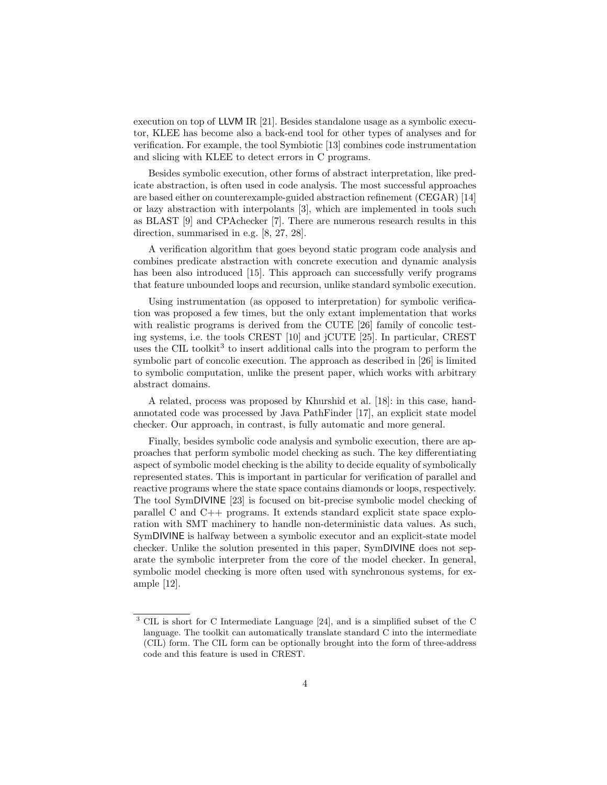execution on top of LLVM IR [21]. Besides standalone usage as a symbolic executor, KLEE has become also a back-end tool for other types of analyses and for verification. For example, the tool Symbiotic [13] combines code instrumentation and slicing with KLEE to detect errors in C programs.

Besides symbolic execution, other forms of abstract interpretation, like predicate abstraction, is often used in code analysis. The most successful approaches are based either on counterexample-guided abstraction refinement (CEGAR) [14] or lazy abstraction with interpolants [3], which are implemented in tools such as BLAST [9] and CPAchecker [7]. There are numerous research results in this direction, summarised in e.g. [8, 27, 28].

A verification algorithm that goes beyond static program code analysis and combines predicate abstraction with concrete execution and dynamic analysis has been also introduced [15]. This approach can successfully verify programs that feature unbounded loops and recursion, unlike standard symbolic execution.

Using instrumentation (as opposed to interpretation) for symbolic verification was proposed a few times, but the only extant implementation that works with realistic programs is derived from the CUTE [26] family of concolic testing systems, i.e. the tools CREST [10] and jCUTE [25]. In particular, CREST uses the CIL toolkit<sup>3</sup> to insert additional calls into the program to perform the symbolic part of concolic execution. The approach as described in [26] is limited to symbolic computation, unlike the present paper, which works with arbitrary abstract domains.

A related, process was proposed by Khurshid et al. [18]: in this case, handannotated code was processed by Java PathFinder [17], an explicit state model checker. Our approach, in contrast, is fully automatic and more general.

Finally, besides symbolic code analysis and symbolic execution, there are approaches that perform symbolic model checking as such. The key differentiating aspect of symbolic model checking is the ability to decide equality of symbolically represented states. This is important in particular for verification of parallel and reactive programs where the state space contains diamonds or loops, respectively. The tool SymDIVINE [23] is focused on bit-precise symbolic model checking of parallel C and C++ programs. It extends standard explicit state space exploration with SMT machinery to handle non-deterministic data values. As such, SymDIVINE is halfway between a symbolic executor and an explicit-state model checker. Unlike the solution presented in this paper, SymDIVINE does not separate the symbolic interpreter from the core of the model checker. In general, symbolic model checking is more often used with synchronous systems, for example [12].

<sup>3</sup> CIL is short for C Intermediate Language [24], and is a simplified subset of the C language. The toolkit can automatically translate standard C into the intermediate (CIL) form. The CIL form can be optionally brought into the form of three-address code and this feature is used in CREST.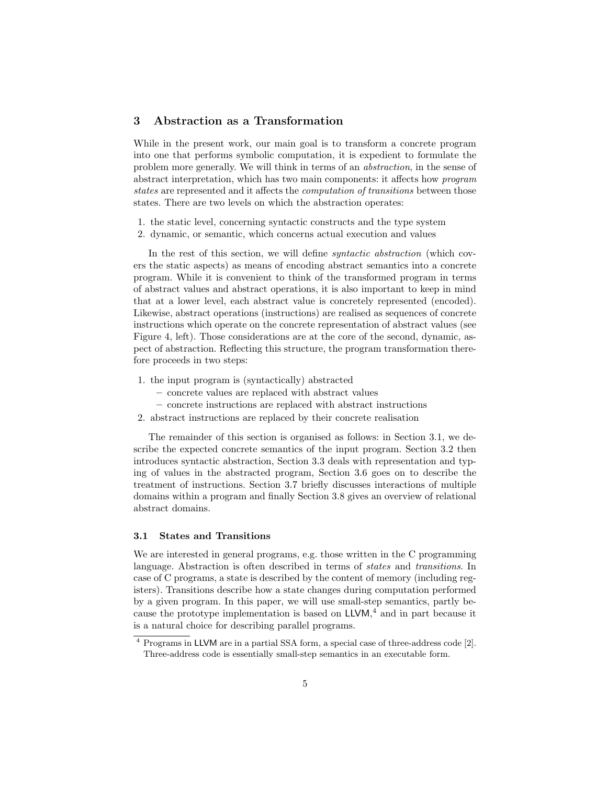# 3 Abstraction as a Transformation

While in the present work, our main goal is to transform a concrete program into one that performs symbolic computation, it is expedient to formulate the problem more generally. We will think in terms of an abstraction, in the sense of abstract interpretation, which has two main components: it affects how program states are represented and it affects the computation of transitions between those states. There are two levels on which the abstraction operates:

- 1. the static level, concerning syntactic constructs and the type system
- 2. dynamic, or semantic, which concerns actual execution and values

In the rest of this section, we will define syntactic abstraction (which covers the static aspects) as means of encoding abstract semantics into a concrete program. While it is convenient to think of the transformed program in terms of abstract values and abstract operations, it is also important to keep in mind that at a lower level, each abstract value is concretely represented (encoded). Likewise, abstract operations (instructions) are realised as sequences of concrete instructions which operate on the concrete representation of abstract values (see Figure 4, left). Those considerations are at the core of the second, dynamic, aspect of abstraction. Reflecting this structure, the program transformation therefore proceeds in two steps:

- 1. the input program is (syntactically) abstracted
	- concrete values are replaced with abstract values
	- concrete instructions are replaced with abstract instructions
- 2. abstract instructions are replaced by their concrete realisation

The remainder of this section is organised as follows: in Section 3.1, we describe the expected concrete semantics of the input program. Section 3.2 then introduces syntactic abstraction, Section 3.3 deals with representation and typing of values in the abstracted program, Section 3.6 goes on to describe the treatment of instructions. Section 3.7 briefly discusses interactions of multiple domains within a program and finally Section 3.8 gives an overview of relational abstract domains.

### 3.1 States and Transitions

We are interested in general programs, e.g. those written in the C programming language. Abstraction is often described in terms of states and transitions. In case of C programs, a state is described by the content of memory (including registers). Transitions describe how a state changes during computation performed by a given program. In this paper, we will use small-step semantics, partly because the prototype implementation is based on LLVM, <sup>4</sup> and in part because it is a natural choice for describing parallel programs.

<sup>4</sup> Programs in LLVM are in a partial SSA form, a special case of three-address code [2]. Three-address code is essentially small-step semantics in an executable form.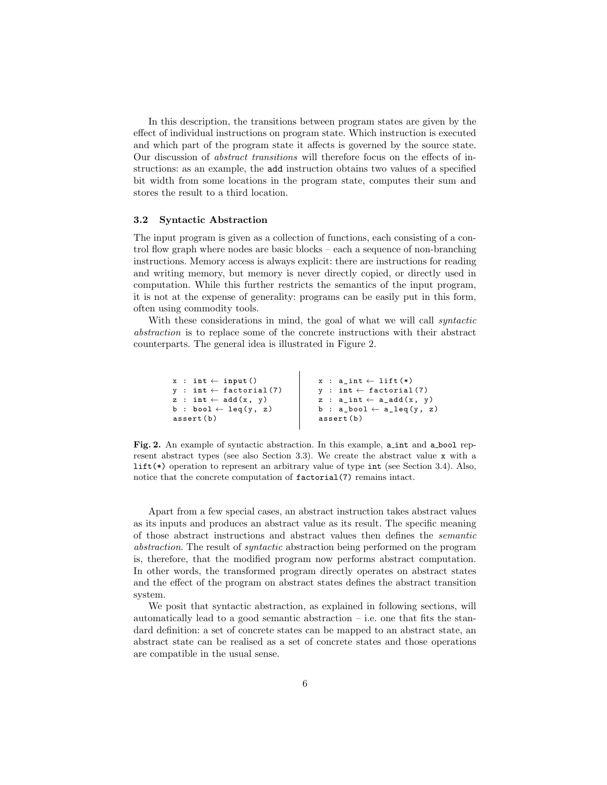In this description, the transitions between program states are given by the effect of individual instructions on program state. Which instruction is executed and which part of the program state it affects is governed by the source state. Our discussion of abstract transitions will therefore focus on the effects of instructions: as an example, the add instruction obtains two values of a specified bit width from some locations in the program state, computes their sum and stores the result to a third location.

#### 3.2 Syntactic Abstraction

The input program is given as a collection of functions, each consisting of a control flow graph where nodes are basic blocks – each a sequence of non-branching instructions. Memory access is always explicit: there are instructions for reading and writing memory, but memory is never directly copied, or directly used in computation. While this further restricts the semantics of the input program, it is not at the expense of generality: programs can be easily put in this form, often using commodity tools.

With these considerations in mind, the goal of what we will call *syntactic* abstraction is to replace some of the concrete instructions with their abstract counterparts. The general idea is illustrated in Figure 2.

| $x : int \leftarrow input()$        | $x : a int \leftarrow lift(*)$                       |
|-------------------------------------|------------------------------------------------------|
| $y$ : int $\leftarrow$ factorial(7) | $y : int \leftarrow factorial(7)$                    |
| $z : int \leftarrow add(x, y)$      | $z : a_{\text{int}} \leftarrow a_{\text{add}}(x, y)$ |
| b : bool $\leftarrow$ leq(y, z)     | b : a bool $\leftarrow$ a leq(y, z)                  |
| assert(b)                           | assert(b)                                            |
|                                     |                                                      |

 $\mathbf{I}$ 

Fig. 2. An example of syntactic abstraction. In this example, a int and a bool represent abstract types (see also Section 3.3). We create the abstract value x with a lift(\*) operation to represent an arbitrary value of type int (see Section 3.4). Also, notice that the concrete computation of factorial(7) remains intact.

Apart from a few special cases, an abstract instruction takes abstract values as its inputs and produces an abstract value as its result. The specific meaning of those abstract instructions and abstract values then defines the semantic abstraction. The result of syntactic abstraction being performed on the program is, therefore, that the modified program now performs abstract computation. In other words, the transformed program directly operates on abstract states and the effect of the program on abstract states defines the abstract transition system.

We posit that syntactic abstraction, as explained in following sections, will automatically lead to a good semantic abstraction  $-$  i.e. one that fits the standard definition: a set of concrete states can be mapped to an abstract state, an abstract state can be realised as a set of concrete states and those operations are compatible in the usual sense.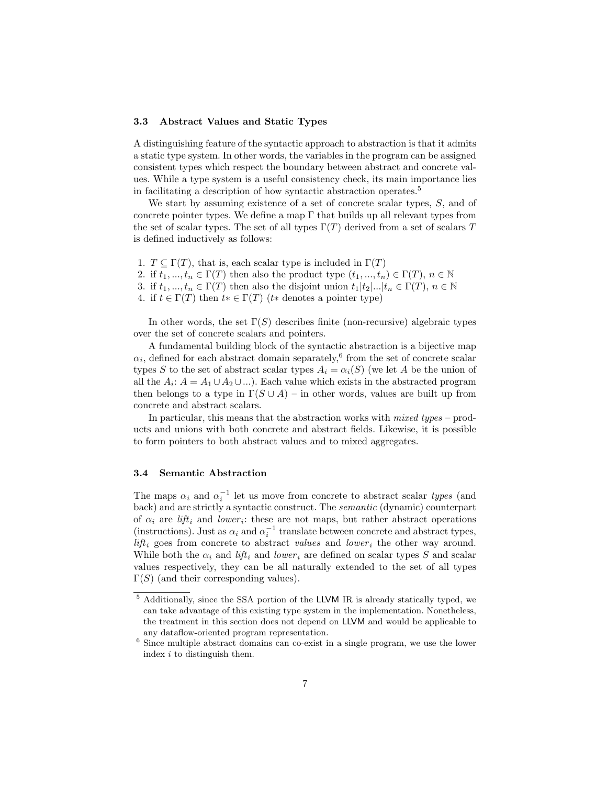### 3.3 Abstract Values and Static Types

A distinguishing feature of the syntactic approach to abstraction is that it admits a static type system. In other words, the variables in the program can be assigned consistent types which respect the boundary between abstract and concrete values. While a type system is a useful consistency check, its main importance lies in facilitating a description of how syntactic abstraction operates.<sup>5</sup>

We start by assuming existence of a set of concrete scalar types, S, and of concrete pointer types. We define a map  $\Gamma$  that builds up all relevant types from the set of scalar types. The set of all types  $\Gamma(T)$  derived from a set of scalars T is defined inductively as follows:

1.  $T \subseteq \Gamma(T)$ , that is, each scalar type is included in  $\Gamma(T)$ 

- 2. if  $t_1, ..., t_n \in \Gamma(T)$  then also the product type  $(t_1, ..., t_n) \in \Gamma(T)$ ,  $n \in \mathbb{N}$
- 3. if  $t_1, ..., t_n \in \Gamma(T)$  then also the disjoint union  $t_1|t_2|...|t_n \in \Gamma(T)$ ,  $n \in \mathbb{N}$
- 4. if  $t \in \Gamma(T)$  then  $t * \in \Gamma(T)$  ( $t *$  denotes a pointer type)

In other words, the set  $\Gamma(S)$  describes finite (non-recursive) algebraic types over the set of concrete scalars and pointers.

A fundamental building block of the syntactic abstraction is a bijective map  $\alpha_i$ , defined for each abstract domain separately,<sup>6</sup> from the set of concrete scalar types S to the set of abstract scalar types  $A_i = \alpha_i(S)$  (we let A be the union of all the  $A_i$ :  $A = A_1 \cup A_2 \cup ...$ ). Each value which exists in the abstracted program then belongs to a type in  $\Gamma(S \cup A)$  – in other words, values are built up from concrete and abstract scalars.

In particular, this means that the abstraction works with mixed types – products and unions with both concrete and abstract fields. Likewise, it is possible to form pointers to both abstract values and to mixed aggregates.

### 3.4 Semantic Abstraction

The maps  $\alpha_i$  and  $\alpha_i^{-1}$  let us move from concrete to abstract scalar types (and back) and are strictly a syntactic construct. The semantic (dynamic) counterpart of  $\alpha_i$  are *lift<sub>i</sub>* and *lower<sub>i</sub>*: these are not maps, but rather abstract operations (instructions). Just as  $\alpha_i$  and  $\alpha_i^{-1}$  translate between concrete and abstract types,  $lif_i$  goes from concrete to abstract values and lower i the other way around. While both the  $\alpha_i$  and lift, and lower, are defined on scalar types S and scalar values respectively, they can be all naturally extended to the set of all types  $\Gamma(S)$  (and their corresponding values).

<sup>5</sup> Additionally, since the SSA portion of the LLVM IR is already statically typed, we can take advantage of this existing type system in the implementation. Nonetheless, the treatment in this section does not depend on LLVM and would be applicable to any dataflow-oriented program representation.

<sup>6</sup> Since multiple abstract domains can co-exist in a single program, we use the lower index i to distinguish them.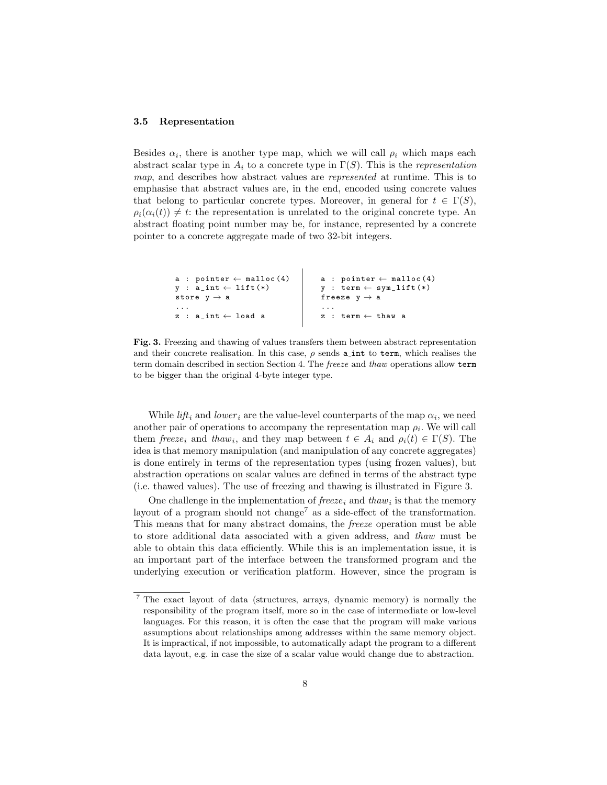#### 3.5 Representation

Besides  $\alpha_i$ , there is another type map, which we will call  $\rho_i$  which maps each abstract scalar type in  $A_i$  to a concrete type in  $\Gamma(S)$ . This is the *representation* map, and describes how abstract values are represented at runtime. This is to emphasise that abstract values are, in the end, encoded using concrete values that belong to particular concrete types. Moreover, in general for  $t \in \Gamma(S)$ ,  $\rho_i(\alpha_i(t)) \neq t$ : the representation is unrelated to the original concrete type. An abstract floating point number may be, for instance, represented by a concrete pointer to a concrete aggregate made of two 32-bit integers.

```
a : pointer \leftarrow \texttt{malloc(4)}y : a_int \leftarrow lift (*)store y \rightarrow a...
z : a<sub>-</sub>int \leftarrow load a
                                               a : pointer \leftarrow \text{malloc}(4)y : term ← sym_lift (*)
                                                freeze y \rightarrow a...
                                                z : term \leftarrow thaw a
```
Fig. 3. Freezing and thawing of values transfers them between abstract representation and their concrete realisation. In this case,  $\rho$  sends a int to term, which realises the term domain described in section Section 4. The freeze and thaw operations allow term to be bigger than the original 4-byte integer type.

While  $lift_i$  and  $lower_i$  are the value-level counterparts of the map  $\alpha_i$ , we need another pair of operations to accompany the representation map  $\rho_i$ . We will call them  $\text{freeze}_i$  and  $\text{thaw}_i$ , and they map between  $t \in A_i$  and  $\rho_i(t) \in \Gamma(S)$ . The idea is that memory manipulation (and manipulation of any concrete aggregates) is done entirely in terms of the representation types (using frozen values), but abstraction operations on scalar values are defined in terms of the abstract type (i.e. thawed values). The use of freezing and thawing is illustrated in Figure 3.

One challenge in the implementation of  $\text{freeze}_{i}$  and  $\text{thaw}_{i}$  is that the memory layout of a program should not change<sup>7</sup> as a side-effect of the transformation. This means that for many abstract domains, the freeze operation must be able to store additional data associated with a given address, and thaw must be able to obtain this data efficiently. While this is an implementation issue, it is an important part of the interface between the transformed program and the underlying execution or verification platform. However, since the program is

<sup>7</sup> The exact layout of data (structures, arrays, dynamic memory) is normally the responsibility of the program itself, more so in the case of intermediate or low-level languages. For this reason, it is often the case that the program will make various assumptions about relationships among addresses within the same memory object. It is impractical, if not impossible, to automatically adapt the program to a different data layout, e.g. in case the size of a scalar value would change due to abstraction.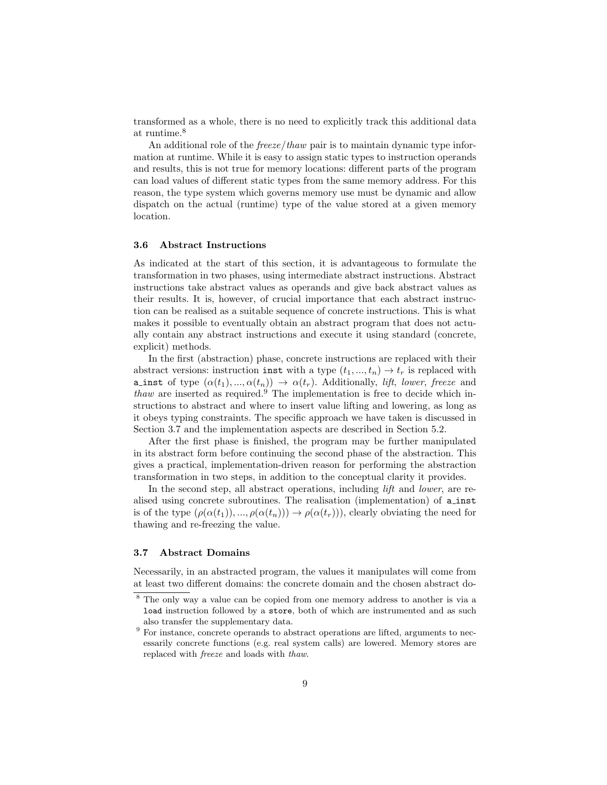transformed as a whole, there is no need to explicitly track this additional data at runtime.<sup>8</sup>

An additional role of the  $\frac{\text{freeze}}{\text{than}}$  pair is to maintain dynamic type information at runtime. While it is easy to assign static types to instruction operands and results, this is not true for memory locations: different parts of the program can load values of different static types from the same memory address. For this reason, the type system which governs memory use must be dynamic and allow dispatch on the actual (runtime) type of the value stored at a given memory location.

### 3.6 Abstract Instructions

As indicated at the start of this section, it is advantageous to formulate the transformation in two phases, using intermediate abstract instructions. Abstract instructions take abstract values as operands and give back abstract values as their results. It is, however, of crucial importance that each abstract instruction can be realised as a suitable sequence of concrete instructions. This is what makes it possible to eventually obtain an abstract program that does not actually contain any abstract instructions and execute it using standard (concrete, explicit) methods.

In the first (abstraction) phase, concrete instructions are replaced with their abstract versions: instruction inst with a type  $(t_1, ..., t_n) \rightarrow t_r$  is replaced with a inst of type  $(\alpha(t_1), ..., \alpha(t_n)) \rightarrow \alpha(t_r)$ . Additionally, *lift*, *lower*, *freeze* and *thaw* are inserted as required.<sup>9</sup> The implementation is free to decide which instructions to abstract and where to insert value lifting and lowering, as long as it obeys typing constraints. The specific approach we have taken is discussed in Section 3.7 and the implementation aspects are described in Section 5.2.

After the first phase is finished, the program may be further manipulated in its abstract form before continuing the second phase of the abstraction. This gives a practical, implementation-driven reason for performing the abstraction transformation in two steps, in addition to the conceptual clarity it provides.

In the second step, all abstract operations, including *lift* and *lower*, are realised using concrete subroutines. The realisation (implementation) of a inst is of the type  $(\rho(\alpha(t_1)), ..., \rho(\alpha(t_n))) \rightarrow \rho(\alpha(t_r))),$  clearly obviating the need for thawing and re-freezing the value.

### 3.7 Abstract Domains

Necessarily, in an abstracted program, the values it manipulates will come from at least two different domains: the concrete domain and the chosen abstract do-

<sup>8</sup> The only way a value can be copied from one memory address to another is via a load instruction followed by a store, both of which are instrumented and as such also transfer the supplementary data.

<sup>&</sup>lt;sup>9</sup> For instance, concrete operands to abstract operations are lifted, arguments to necessarily concrete functions (e.g. real system calls) are lowered. Memory stores are replaced with freeze and loads with thaw.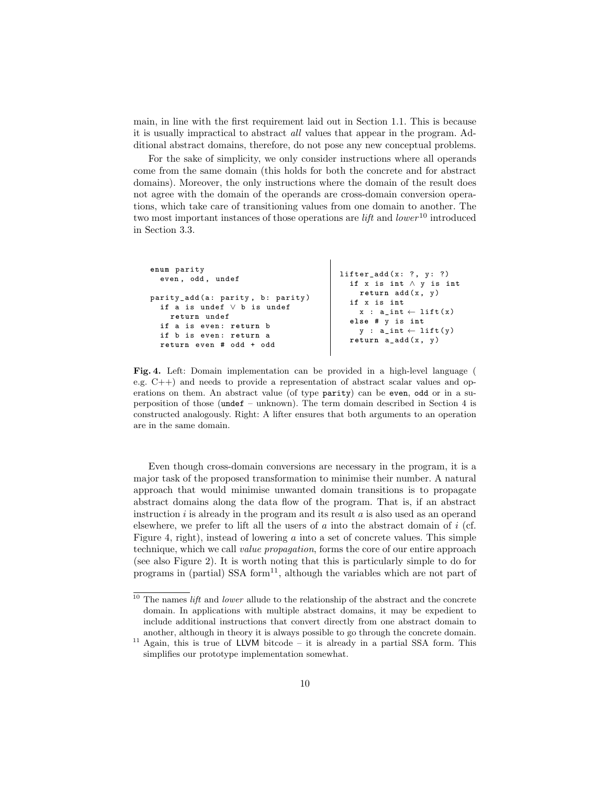main, in line with the first requirement laid out in Section 1.1. This is because it is usually impractical to abstract all values that appear in the program. Additional abstract domains, therefore, do not pose any new conceptual problems.

For the sake of simplicity, we only consider instructions where all operands come from the same domain (this holds for both the concrete and for abstract domains). Moreover, the only instructions where the domain of the result does not agree with the domain of the operands are cross-domain conversion operations, which take care of transitioning values from one domain to another. The two most important instances of those operations are  $\textit{lift}$  and  $\textit{lower}^{10}$  introduced in Section 3.3.

| enum parity                      | lifter_add(x: ?, $y:$ ?)                       |
|----------------------------------|------------------------------------------------|
| even, odd, undef                 | if x is int $\land$ y is int                   |
| parity_add(a: parity, b: parity) | return $add(x, y)$                             |
| if a is undef $\vee$ b is undef  | if x is int                                    |
| return undef                     | $x : a_{\text{int}} \leftarrow \text{lift}(x)$ |
| if a is even: return b           | else $#$ $y$ is int                            |
| if b is even: return a           | $y : a_{\text{int}} \leftarrow \text{lift}(y)$ |
| return even # odd + odd          | return $a$ add $(x, y)$                        |

 $\overline{1}$ 

Fig. 4. Left: Domain implementation can be provided in a high-level language ( e.g.  $C++$ ) and needs to provide a representation of abstract scalar values and operations on them. An abstract value (of type parity) can be even, odd or in a superposition of those (undef – unknown). The term domain described in Section 4 is constructed analogously. Right: A lifter ensures that both arguments to an operation are in the same domain.

Even though cross-domain conversions are necessary in the program, it is a major task of the proposed transformation to minimise their number. A natural approach that would minimise unwanted domain transitions is to propagate abstract domains along the data flow of the program. That is, if an abstract instruction  $i$  is already in the program and its result  $a$  is also used as an operand elsewhere, we prefer to lift all the users of a into the abstract domain of  $i$  (cf. Figure 4, right), instead of lowering  $\alpha$  into a set of concrete values. This simple technique, which we call value propagation, forms the core of our entire approach (see also Figure 2). It is worth noting that this is particularly simple to do for programs in (partial) SSA form<sup>11</sup>, although the variables which are not part of

 $10$  The names *lift* and *lower* allude to the relationship of the abstract and the concrete domain. In applications with multiple abstract domains, it may be expedient to include additional instructions that convert directly from one abstract domain to another, although in theory it is always possible to go through the concrete domain.

 $11$  Again, this is true of LLVM bitcode – it is already in a partial SSA form. This simplifies our prototype implementation somewhat.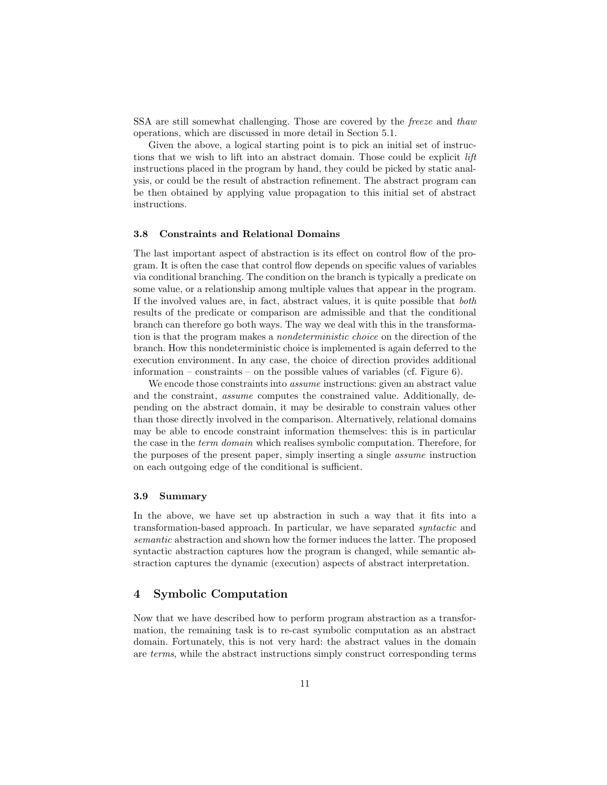SSA are still somewhat challenging. Those are covered by the freeze and thaw operations, which are discussed in more detail in Section 5.1.

Given the above, a logical starting point is to pick an initial set of instructions that we wish to lift into an abstract domain. Those could be explicit *lift* instructions placed in the program by hand, they could be picked by static analysis, or could be the result of abstraction refinement. The abstract program can be then obtained by applying value propagation to this initial set of abstract instructions.

### 3.8 Constraints and Relational Domains

The last important aspect of abstraction is its effect on control flow of the program. It is often the case that control flow depends on specific values of variables via conditional branching. The condition on the branch is typically a predicate on some value, or a relationship among multiple values that appear in the program. If the involved values are, in fact, abstract values, it is quite possible that both results of the predicate or comparison are admissible and that the conditional branch can therefore go both ways. The way we deal with this in the transformation is that the program makes a nondeterministic choice on the direction of the branch. How this nondeterministic choice is implemented is again deferred to the execution environment. In any case, the choice of direction provides additional information – constraints – on the possible values of variables (cf. Figure 6).

We encode those constraints into *assume* instructions: given an abstract value and the constraint, assume computes the constrained value. Additionally, depending on the abstract domain, it may be desirable to constrain values other than those directly involved in the comparison. Alternatively, relational domains may be able to encode constraint information themselves: this is in particular the case in the term domain which realises symbolic computation. Therefore, for the purposes of the present paper, simply inserting a single assume instruction on each outgoing edge of the conditional is sufficient.

#### 3.9 Summary

In the above, we have set up abstraction in such a way that it fits into a transformation-based approach. In particular, we have separated syntactic and semantic abstraction and shown how the former induces the latter. The proposed syntactic abstraction captures how the program is changed, while semantic abstraction captures the dynamic (execution) aspects of abstract interpretation.

# 4 Symbolic Computation

Now that we have described how to perform program abstraction as a transformation, the remaining task is to re-cast symbolic computation as an abstract domain. Fortunately, this is not very hard: the abstract values in the domain are terms, while the abstract instructions simply construct corresponding terms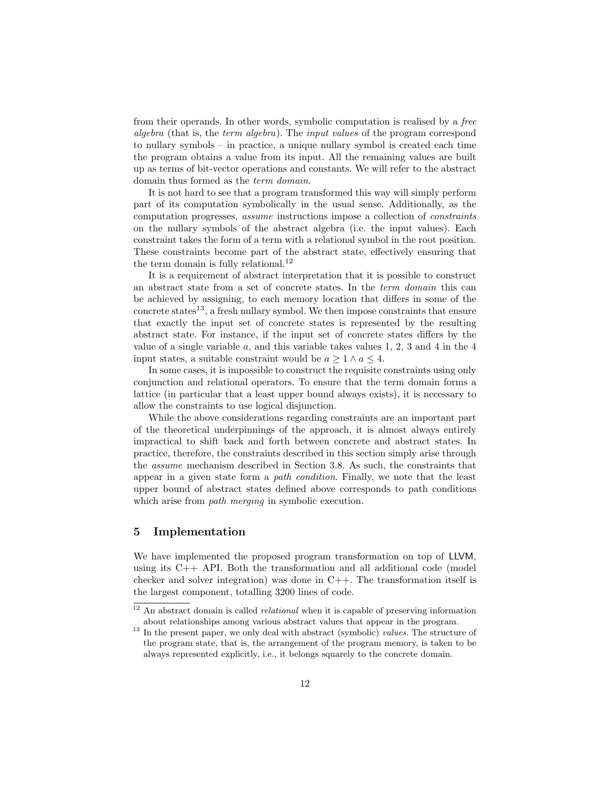from their operands. In other words, symbolic computation is realised by a free algebra (that is, the term algebra). The input values of the program correspond to nullary symbols – in practice, a unique nullary symbol is created each time the program obtains a value from its input. All the remaining values are built up as terms of bit-vector operations and constants. We will refer to the abstract domain thus formed as the term domain.

It is not hard to see that a program transformed this way will simply perform part of its computation symbolically in the usual sense. Additionally, as the computation progresses, assume instructions impose a collection of constraints on the nullary symbols of the abstract algebra (i.e. the input values). Each constraint takes the form of a term with a relational symbol in the root position. These constraints become part of the abstract state, effectively ensuring that the term domain is fully relational.<sup>12</sup>

It is a requirement of abstract interpretation that it is possible to construct an abstract state from a set of concrete states. In the term domain this can be achieved by assigning, to each memory location that differs in some of the concrete states<sup>13</sup>, a fresh nullary symbol. We then impose constraints that ensure that exactly the input set of concrete states is represented by the resulting abstract state. For instance, if the input set of concrete states differs by the value of a single variable  $a$ , and this variable takes values 1, 2, 3 and 4 in the 4 input states, a suitable constraint would be  $a \geq 1 \wedge a \leq 4$ .

In some cases, it is impossible to construct the requisite constraints using only conjunction and relational operators. To ensure that the term domain forms a lattice (in particular that a least upper bound always exists), it is necessary to allow the constraints to use logical disjunction.

While the above considerations regarding constraints are an important part of the theoretical underpinnings of the approach, it is almost always entirely impractical to shift back and forth between concrete and abstract states. In practice, therefore, the constraints described in this section simply arise through the assume mechanism described in Section 3.8. As such, the constraints that appear in a given state form a path condition. Finally, we note that the least upper bound of abstract states defined above corresponds to path conditions which arise from *path merging* in symbolic execution.

# 5 Implementation

We have implemented the proposed program transformation on top of LLVM, using its  $C++$  API. Both the transformation and all additional code (model checker and solver integration) was done in  $C_{++}$ . The transformation itself is the largest component, totalling 3200 lines of code.

 $12$  An abstract domain is called *relational* when it is capable of preserving information about relationships among various abstract values that appear in the program.

<sup>&</sup>lt;sup>13</sup> In the present paper, we only deal with abstract (symbolic) values. The structure of the program state, that is, the arrangement of the program memory, is taken to be always represented explicitly, i.e., it belongs squarely to the concrete domain.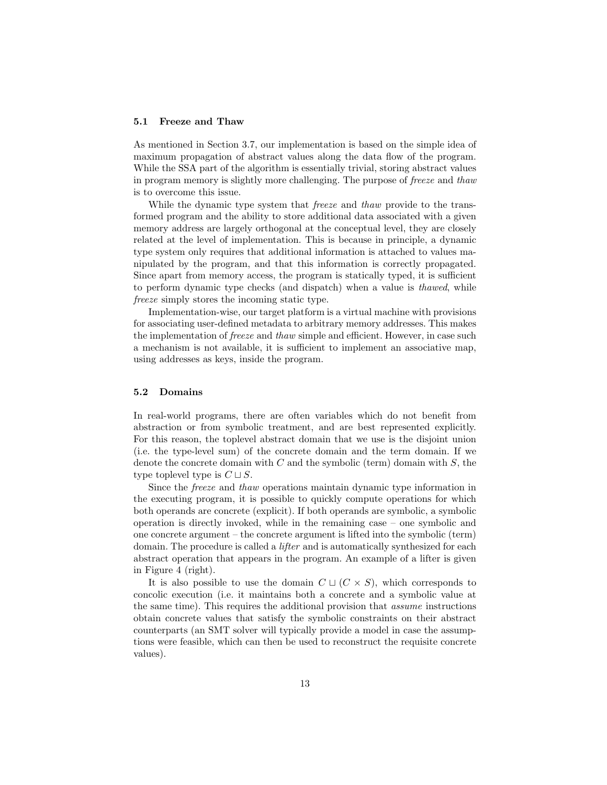#### 5.1 Freeze and Thaw

As mentioned in Section 3.7, our implementation is based on the simple idea of maximum propagation of abstract values along the data flow of the program. While the SSA part of the algorithm is essentially trivial, storing abstract values in program memory is slightly more challenging. The purpose of freeze and thaw is to overcome this issue.

While the dynamic type system that *freeze* and *thaw* provide to the transformed program and the ability to store additional data associated with a given memory address are largely orthogonal at the conceptual level, they are closely related at the level of implementation. This is because in principle, a dynamic type system only requires that additional information is attached to values manipulated by the program, and that this information is correctly propagated. Since apart from memory access, the program is statically typed, it is sufficient to perform dynamic type checks (and dispatch) when a value is thawed, while freeze simply stores the incoming static type.

Implementation-wise, our target platform is a virtual machine with provisions for associating user-defined metadata to arbitrary memory addresses. This makes the implementation of *freeze* and *thaw* simple and efficient. However, in case such a mechanism is not available, it is sufficient to implement an associative map, using addresses as keys, inside the program.

### 5.2 Domains

In real-world programs, there are often variables which do not benefit from abstraction or from symbolic treatment, and are best represented explicitly. For this reason, the toplevel abstract domain that we use is the disjoint union (i.e. the type-level sum) of the concrete domain and the term domain. If we denote the concrete domain with  $C$  and the symbolic (term) domain with  $S$ , the type toplevel type is  $C \sqcup S$ .

Since the freeze and thaw operations maintain dynamic type information in the executing program, it is possible to quickly compute operations for which both operands are concrete (explicit). If both operands are symbolic, a symbolic operation is directly invoked, while in the remaining case – one symbolic and one concrete argument – the concrete argument is lifted into the symbolic (term) domain. The procedure is called a lifter and is automatically synthesized for each abstract operation that appears in the program. An example of a lifter is given in Figure 4 (right).

It is also possible to use the domain  $C \sqcup (C \times S)$ , which corresponds to concolic execution (i.e. it maintains both a concrete and a symbolic value at the same time). This requires the additional provision that assume instructions obtain concrete values that satisfy the symbolic constraints on their abstract counterparts (an SMT solver will typically provide a model in case the assumptions were feasible, which can then be used to reconstruct the requisite concrete values).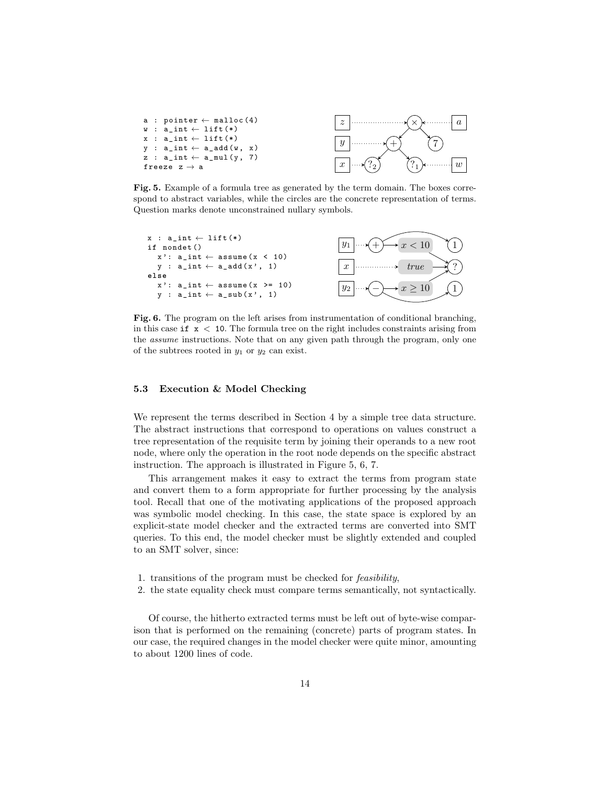

Fig. 5. Example of a formula tree as generated by the term domain. The boxes correspond to abstract variables, while the circles are the concrete representation of terms. Question marks denote unconstrained nullary symbols.



Fig. 6. The program on the left arises from instrumentation of conditional branching, in this case if  $x < 10$ . The formula tree on the right includes constraints arising from the assume instructions. Note that on any given path through the program, only one of the subtrees rooted in  $y_1$  or  $y_2$  can exist.

#### 5.3 Execution & Model Checking

We represent the terms described in Section 4 by a simple tree data structure. The abstract instructions that correspond to operations on values construct a tree representation of the requisite term by joining their operands to a new root node, where only the operation in the root node depends on the specific abstract instruction. The approach is illustrated in Figure 5, 6, 7.

This arrangement makes it easy to extract the terms from program state and convert them to a form appropriate for further processing by the analysis tool. Recall that one of the motivating applications of the proposed approach was symbolic model checking. In this case, the state space is explored by an explicit-state model checker and the extracted terms are converted into SMT queries. To this end, the model checker must be slightly extended and coupled to an SMT solver, since:

- 1. transitions of the program must be checked for feasibility,
- 2. the state equality check must compare terms semantically, not syntactically.

Of course, the hitherto extracted terms must be left out of byte-wise comparison that is performed on the remaining (concrete) parts of program states. In our case, the required changes in the model checker were quite minor, amounting to about 1200 lines of code.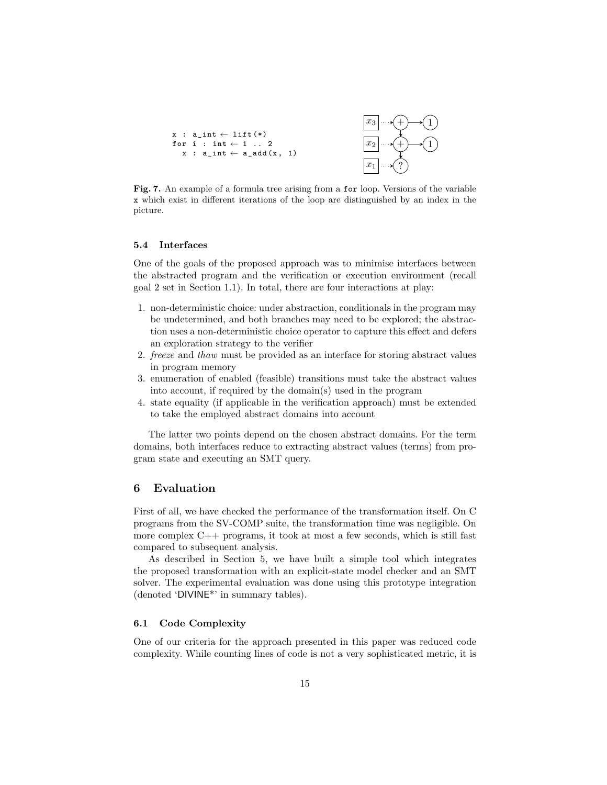

Fig. 7. An example of a formula tree arising from a for loop. Versions of the variable x which exist in different iterations of the loop are distinguished by an index in the picture.

### 5.4 Interfaces

One of the goals of the proposed approach was to minimise interfaces between the abstracted program and the verification or execution environment (recall goal 2 set in Section 1.1). In total, there are four interactions at play:

- 1. non-deterministic choice: under abstraction, conditionals in the program may be undetermined, and both branches may need to be explored; the abstraction uses a non-deterministic choice operator to capture this effect and defers an exploration strategy to the verifier
- 2. freeze and thaw must be provided as an interface for storing abstract values in program memory
- 3. enumeration of enabled (feasible) transitions must take the abstract values into account, if required by the domain(s) used in the program
- 4. state equality (if applicable in the verification approach) must be extended to take the employed abstract domains into account

The latter two points depend on the chosen abstract domains. For the term domains, both interfaces reduce to extracting abstract values (terms) from program state and executing an SMT query.

### 6 Evaluation

First of all, we have checked the performance of the transformation itself. On C programs from the SV-COMP suite, the transformation time was negligible. On more complex C++ programs, it took at most a few seconds, which is still fast compared to subsequent analysis.

As described in Section 5, we have built a simple tool which integrates the proposed transformation with an explicit-state model checker and an SMT solver. The experimental evaluation was done using this prototype integration (denoted 'DIVINE\*' in summary tables).

### 6.1 Code Complexity

One of our criteria for the approach presented in this paper was reduced code complexity. While counting lines of code is not a very sophisticated metric, it is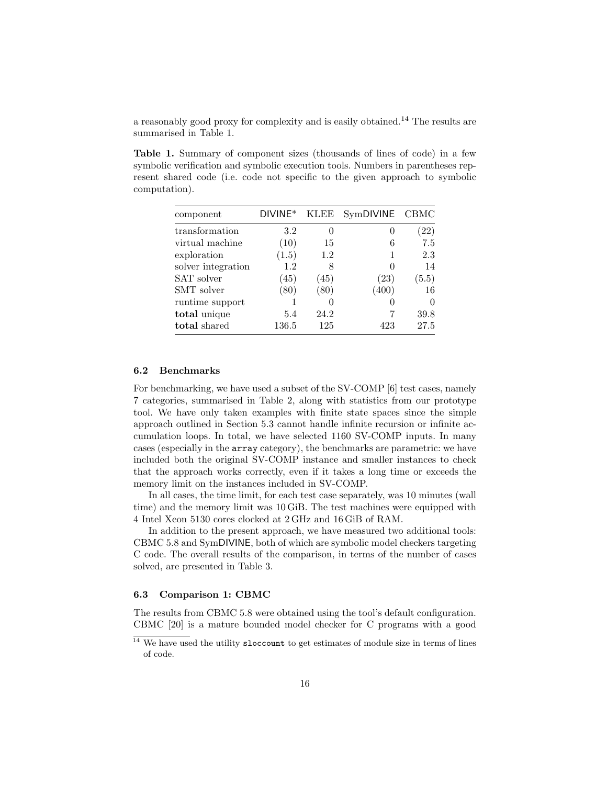a reasonably good proxy for complexity and is easily obtained.<sup>14</sup> The results are summarised in Table 1.

Table 1. Summary of component sizes (thousands of lines of code) in a few symbolic verification and symbolic execution tools. Numbers in parentheses represent shared code (i.e. code not specific to the given approach to symbolic computation).

| component          | DIVINE <sup>*</sup> | KLEE | SymDIVINE CBMC     |          |
|--------------------|---------------------|------|--------------------|----------|
| transformation     | 3.2                 |      | 0                  | $22 \,$  |
| virtual machine    | (10)                | 15   | 6                  | 7.5      |
| exploration        | (1.5)               | 1.2  |                    | 2.3      |
| solver integration | 1.2                 | 8    | $\mathbf{0}$       | 14       |
| SAT solver         | (45)                | (45) | $\left( 23\right)$ | (5.5)    |
| SMT solver         | (80)                | (80) | (400)              | 16       |
| runtime support    |                     |      |                    | $\Omega$ |
| total unique       | 5.4                 | 24.2 |                    | 39.8     |
| total shared       | 136.5               | 125  | 423                | 27.5     |

### 6.2 Benchmarks

For benchmarking, we have used a subset of the SV-COMP [6] test cases, namely 7 categories, summarised in Table 2, along with statistics from our prototype tool. We have only taken examples with finite state spaces since the simple approach outlined in Section 5.3 cannot handle infinite recursion or infinite accumulation loops. In total, we have selected 1160 SV-COMP inputs. In many cases (especially in the array category), the benchmarks are parametric: we have included both the original SV-COMP instance and smaller instances to check that the approach works correctly, even if it takes a long time or exceeds the memory limit on the instances included in SV-COMP.

In all cases, the time limit, for each test case separately, was 10 minutes (wall time) and the memory limit was 10 GiB. The test machines were equipped with 4 Intel Xeon 5130 cores clocked at 2 GHz and 16 GiB of RAM.

In addition to the present approach, we have measured two additional tools: CBMC 5.8 and SymDIVINE, both of which are symbolic model checkers targeting C code. The overall results of the comparison, in terms of the number of cases solved, are presented in Table 3.

### 6.3 Comparison 1: CBMC

The results from CBMC 5.8 were obtained using the tool's default configuration. CBMC [20] is a mature bounded model checker for C programs with a good

<sup>&</sup>lt;sup>14</sup> We have used the utility **sloccount** to get estimates of module size in terms of lines of code.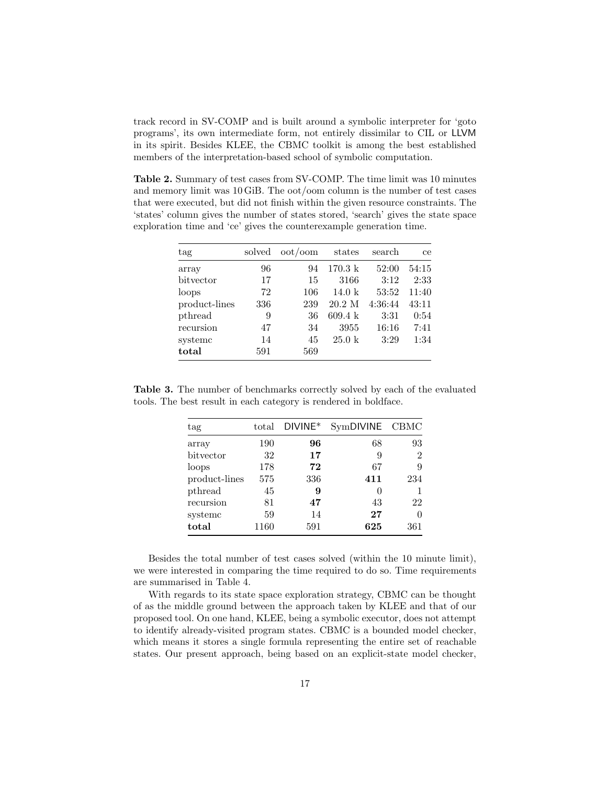track record in SV-COMP and is built around a symbolic interpreter for 'goto programs', its own intermediate form, not entirely dissimilar to CIL or LLVM in its spirit. Besides KLEE, the CBMC toolkit is among the best established members of the interpretation-based school of symbolic computation.

Table 2. Summary of test cases from SV-COMP. The time limit was 10 minutes and memory limit was 10 GiB. The oot/oom column is the number of test cases that were executed, but did not finish within the given resource constraints. The 'states' column gives the number of states stored, 'search' gives the state space exploration time and 'ce' gives the counterexample generation time.

| tag           | solved | $\mathrm{oot}/\mathrm{oom}$ | states            | search  | ce    |
|---------------|--------|-----------------------------|-------------------|---------|-------|
| array         | 96     | 94                          | $170.3 \text{ k}$ | 52:00   | 54:15 |
| bityector     | 17     | 15                          | 3166              | 3:12    | 2:33  |
| loops         | 72     | 106                         | 14.0 k            | 53:52   | 11:40 |
| product-lines | 336    | 239                         | $20.2\text{ M}$   | 4:36:44 | 43:11 |
| pthread       | 9      | 36                          | $609.4 \text{ k}$ | 3:31    | 0:54  |
| recursion     | 47     | 34                          | 3955              | 16:16   | 7:41  |
| systemc       | 14     | 45                          | $25.0\text{ k}$   | 3:29    | 1:34  |
| total         | 591    | 569                         |                   |         |       |

Table 3. The number of benchmarks correctly solved by each of the evaluated tools. The best result in each category is rendered in boldface.

| tag           | $_{\rm total}$ | DIVINE* | SymDIVINE CBMC |                |
|---------------|----------------|---------|----------------|----------------|
| array         | 190            | 96      | 68             | 93             |
| bityector     | 32             | 17      | 9              | $\overline{2}$ |
| loops         | 178            | 72      | 67             | 9              |
| product-lines | 575            | 336     | 411            | 234            |
| pthread       | 45             | 9       | $\theta$       |                |
| recursion     | 81             | 47      | 43             | 22             |
| systemc       | 59             | 14      | 27             | $\theta$       |
| total         | 1160           | 591     | 625            | 361            |

Besides the total number of test cases solved (within the 10 minute limit), we were interested in comparing the time required to do so. Time requirements are summarised in Table 4.

With regards to its state space exploration strategy, CBMC can be thought of as the middle ground between the approach taken by KLEE and that of our proposed tool. On one hand, KLEE, being a symbolic executor, does not attempt to identify already-visited program states. CBMC is a bounded model checker, which means it stores a single formula representing the entire set of reachable states. Our present approach, being based on an explicit-state model checker,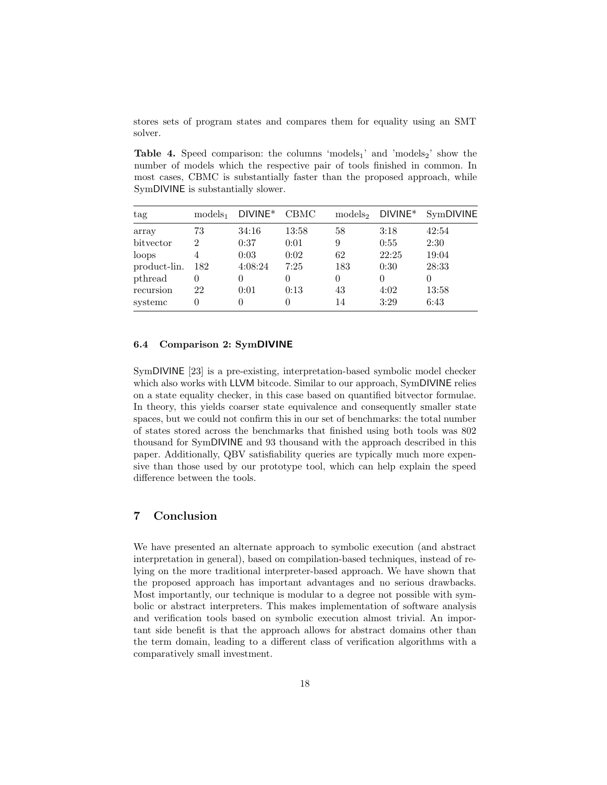stores sets of program states and compares them for equality using an SMT solver.

**Table 4.** Speed comparison: the columns 'models<sub>1</sub>' and 'models<sub>2</sub>' show the number of models which the respective pair of tools finished in common. In most cases, CBMC is substantially faster than the proposed approach, while SymDIVINE is substantially slower.

| tag          | models <sub>1</sub> | DIVINE* CBMC |              | models <sub>2</sub> | DIVINE*  | SymDIVINE |
|--------------|---------------------|--------------|--------------|---------------------|----------|-----------|
| array        | 73                  | 34:16        | 13:58        | 58                  | 3:18     | 42:54     |
| bityector    | 2                   | 0:37         | 0:01         | 9                   | 0:55     | 2:30      |
| loops        | 4                   | 0:03         | 0:02         | 62                  | 22:25    | 19:04     |
| product-lin. | 182                 | 4:08:24      | 7:25         | 183                 | 0:30     | 28:33     |
| pthread      | $\theta$            |              | $\mathbf{0}$ | 0                   | $\theta$ | $\theta$  |
| recursion    | 22                  | 0:01         | 0:13         | 43                  | 4:02     | 13:58     |
| systemc      | 0                   |              |              | 14                  | 3:29     | 6:43      |

### 6.4 Comparison 2: SymDIVINE

SymDIVINE [23] is a pre-existing, interpretation-based symbolic model checker which also works with LLVM bitcode. Similar to our approach, SymDIVINE relies on a state equality checker, in this case based on quantified bitvector formulae. In theory, this yields coarser state equivalence and consequently smaller state spaces, but we could not confirm this in our set of benchmarks: the total number of states stored across the benchmarks that finished using both tools was 802 thousand for SymDIVINE and 93 thousand with the approach described in this paper. Additionally, QBV satisfiability queries are typically much more expensive than those used by our prototype tool, which can help explain the speed difference between the tools.

## 7 Conclusion

We have presented an alternate approach to symbolic execution (and abstract interpretation in general), based on compilation-based techniques, instead of relying on the more traditional interpreter-based approach. We have shown that the proposed approach has important advantages and no serious drawbacks. Most importantly, our technique is modular to a degree not possible with symbolic or abstract interpreters. This makes implementation of software analysis and verification tools based on symbolic execution almost trivial. An important side benefit is that the approach allows for abstract domains other than the term domain, leading to a different class of verification algorithms with a comparatively small investment.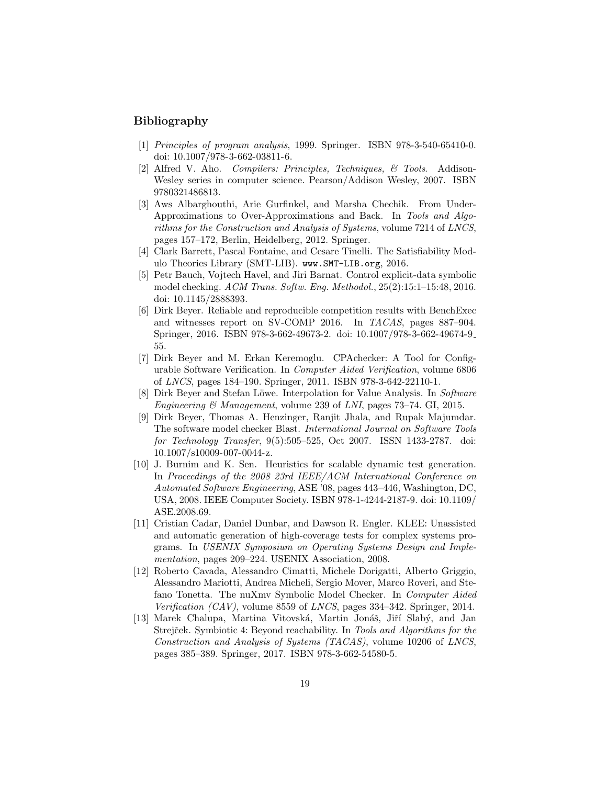### Bibliography

- [1] *Principles of program analysis*, 1999. Springer. ISBN 978-3-540-65410-0. doi: 10.1007/978-3-662-03811-6.
- [2] Alfred V. Aho. Compilers: Principles, Techniques, & Tools. Addison-Wesley series in computer science. Pearson/Addison Wesley, 2007. ISBN 9780321486813.
- [3] Aws Albarghouthi, Arie Gurfinkel, and Marsha Chechik. From Under-Approximations to Over-Approximations and Back. In Tools and Algorithms for the Construction and Analysis of Systems, volume 7214 of LNCS, pages 157–172, Berlin, Heidelberg, 2012. Springer.
- [4] Clark Barrett, Pascal Fontaine, and Cesare Tinelli. The Satisfiability Modulo Theories Library (SMT-LIB). www.SMT-LIB.org, 2016.
- [5] Petr Bauch, Vojtech Havel, and Jiri Barnat. Control explicit-data symbolic model checking. ACM Trans. Softw. Eng. Methodol., 25(2):15:1–15:48, 2016. doi: 10.1145/2888393.
- [6] Dirk Beyer. Reliable and reproducible competition results with BenchExec and witnesses report on SV-COMP 2016. In TACAS, pages 887–904. Springer, 2016. ISBN 978-3-662-49673-2. doi: 10.1007/978-3-662-49674-9 55.
- [7] Dirk Beyer and M. Erkan Keremoglu. CPAchecker: A Tool for Configurable Software Verification. In Computer Aided Verification, volume 6806 of LNCS, pages 184–190. Springer, 2011. ISBN 978-3-642-22110-1.
- [8] Dirk Beyer and Stefan Löwe. Interpolation for Value Analysis. In Software Engineering  $\mathcal{B}$  Management, volume 239 of LNI, pages 73–74. GI, 2015.
- [9] Dirk Beyer, Thomas A. Henzinger, Ranjit Jhala, and Rupak Majumdar. The software model checker Blast. International Journal on Software Tools for Technology Transfer, 9(5):505–525, Oct 2007. ISSN 1433-2787. doi: 10.1007/s10009-007-0044-z.
- [10] J. Burnim and K. Sen. Heuristics for scalable dynamic test generation. In Proceedings of the 2008 23rd IEEE/ACM International Conference on Automated Software Engineering, ASE '08, pages 443–446, Washington, DC, USA, 2008. IEEE Computer Society. ISBN 978-1-4244-2187-9. doi: 10.1109/ ASE.2008.69.
- [11] Cristian Cadar, Daniel Dunbar, and Dawson R. Engler. KLEE: Unassisted and automatic generation of high-coverage tests for complex systems programs. In USENIX Symposium on Operating Systems Design and Implementation, pages 209–224. USENIX Association, 2008.
- [12] Roberto Cavada, Alessandro Cimatti, Michele Dorigatti, Alberto Griggio, Alessandro Mariotti, Andrea Micheli, Sergio Mover, Marco Roveri, and Stefano Tonetta. The nuXmv Symbolic Model Checker. In Computer Aided Verification (CAV), volume 8559 of LNCS, pages 334–342. Springer, 2014.
- [13] Marek Chalupa, Martina Vitovská, Martin Jonáš, Jiří Slabý, and Jan Strejček. Symbiotic 4: Beyond reachability. In Tools and Algorithms for the Construction and Analysis of Systems (TACAS), volume 10206 of LNCS, pages 385–389. Springer, 2017. ISBN 978-3-662-54580-5.